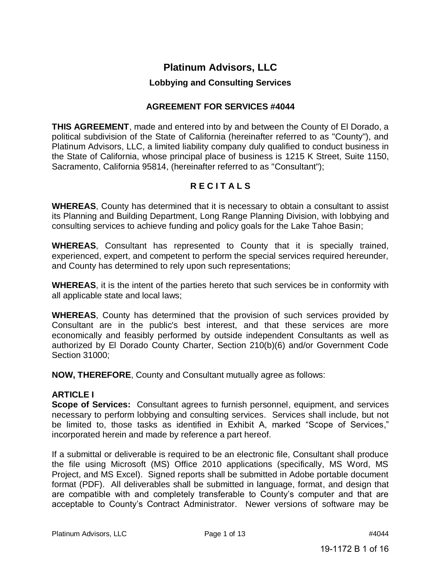# **Platinum Advisors, LLC**

## **Lobbying and Consulting Services**

## **AGREEMENT FOR SERVICES #4044**

**THIS AGREEMENT**, made and entered into by and between the County of El Dorado, a political subdivision of the State of California (hereinafter referred to as "County"), and Platinum Advisors, LLC, a limited liability company duly qualified to conduct business in the State of California, whose principal place of business is 1215 K Street, Suite 1150, Sacramento, California 95814, (hereinafter referred to as "Consultant");

## **R E C I T A L S**

**WHEREAS**, County has determined that it is necessary to obtain a consultant to assist its Planning and Building Department, Long Range Planning Division, with lobbying and consulting services to achieve funding and policy goals for the Lake Tahoe Basin;

**WHEREAS**, Consultant has represented to County that it is specially trained, experienced, expert, and competent to perform the special services required hereunder, and County has determined to rely upon such representations;

**WHEREAS**, it is the intent of the parties hereto that such services be in conformity with all applicable state and local laws;

**WHEREAS**, County has determined that the provision of such services provided by Consultant are in the public's best interest, and that these services are more economically and feasibly performed by outside independent Consultants as well as authorized by El Dorado County Charter, Section 210(b)(6) and/or Government Code Section 31000;

**NOW, THEREFORE**, County and Consultant mutually agree as follows:

## **ARTICLE I**

**Scope of Services:** Consultant agrees to furnish personnel, equipment, and services necessary to perform lobbying and consulting services. Services shall include, but not be limited to, those tasks as identified in Exhibit A, marked "Scope of Services," incorporated herein and made by reference a part hereof.

If a submittal or deliverable is required to be an electronic file, Consultant shall produce the file using Microsoft (MS) Office 2010 applications (specifically, MS Word, MS Project, and MS Excel). Signed reports shall be submitted in Adobe portable document format (PDF). All deliverables shall be submitted in language, format, and design that are compatible with and completely transferable to County's computer and that are acceptable to County's Contract Administrator. Newer versions of software may be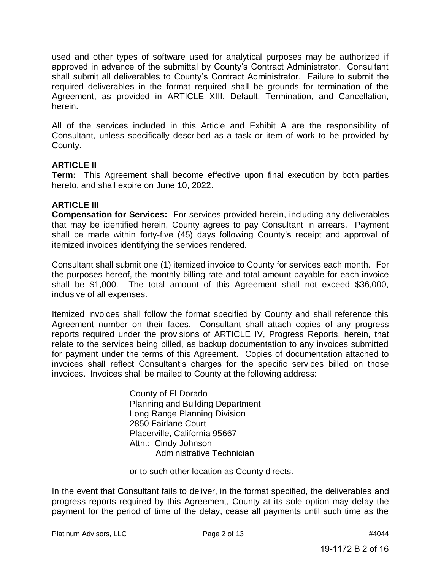used and other types of software used for analytical purposes may be authorized if approved in advance of the submittal by County's Contract Administrator. Consultant shall submit all deliverables to County's Contract Administrator. Failure to submit the required deliverables in the format required shall be grounds for termination of the Agreement, as provided in ARTICLE XIII, Default, Termination, and Cancellation, herein.

All of the services included in this Article and Exhibit A are the responsibility of Consultant, unless specifically described as a task or item of work to be provided by County.

## **ARTICLE II**

**Term:** This Agreement shall become effective upon final execution by both parties hereto, and shall expire on June 10, 2022.

#### **ARTICLE III**

**Compensation for Services:** For services provided herein, including any deliverables that may be identified herein, County agrees to pay Consultant in arrears. Payment shall be made within forty-five (45) days following County's receipt and approval of itemized invoices identifying the services rendered.

Consultant shall submit one (1) itemized invoice to County for services each month. For the purposes hereof, the monthly billing rate and total amount payable for each invoice shall be \$1,000. The total amount of this Agreement shall not exceed \$36,000, inclusive of all expenses.

Itemized invoices shall follow the format specified by County and shall reference this Agreement number on their faces. Consultant shall attach copies of any progress reports required under the provisions of ARTICLE IV, Progress Reports, herein, that relate to the services being billed, as backup documentation to any invoices submitted for payment under the terms of this Agreement. Copies of documentation attached to invoices shall reflect Consultant's charges for the specific services billed on those invoices. Invoices shall be mailed to County at the following address:

> County of El Dorado Planning and Building Department Long Range Planning Division 2850 Fairlane Court Placerville, California 95667 Attn.: Cindy Johnson Administrative Technician

or to such other location as County directs.

In the event that Consultant fails to deliver, in the format specified, the deliverables and progress reports required by this Agreement, County at its sole option may delay the payment for the period of time of the delay, cease all payments until such time as the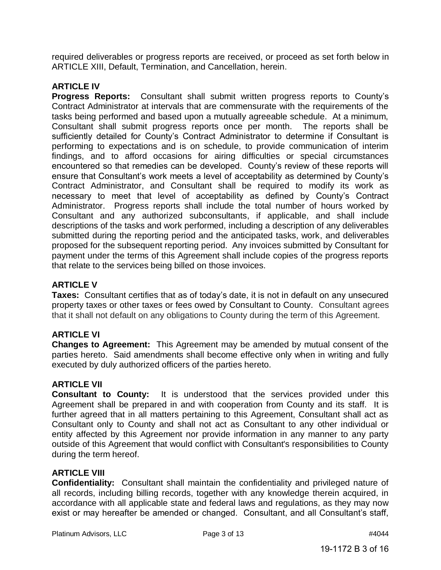required deliverables or progress reports are received, or proceed as set forth below in ARTICLE XIII, Default, Termination, and Cancellation, herein.

## **ARTICLE IV**

**Progress Reports:** Consultant shall submit written progress reports to County's Contract Administrator at intervals that are commensurate with the requirements of the tasks being performed and based upon a mutually agreeable schedule. At a minimum, Consultant shall submit progress reports once per month. The reports shall be sufficiently detailed for County's Contract Administrator to determine if Consultant is performing to expectations and is on schedule, to provide communication of interim findings, and to afford occasions for airing difficulties or special circumstances encountered so that remedies can be developed. County's review of these reports will ensure that Consultant's work meets a level of acceptability as determined by County's Contract Administrator, and Consultant shall be required to modify its work as necessary to meet that level of acceptability as defined by County's Contract Administrator. Progress reports shall include the total number of hours worked by Consultant and any authorized subconsultants, if applicable, and shall include descriptions of the tasks and work performed, including a description of any deliverables submitted during the reporting period and the anticipated tasks, work, and deliverables proposed for the subsequent reporting period. Any invoices submitted by Consultant for payment under the terms of this Agreement shall include copies of the progress reports that relate to the services being billed on those invoices.

## **ARTICLE V**

**Taxes:** Consultant certifies that as of today's date, it is not in default on any unsecured property taxes or other taxes or fees owed by Consultant to County. Consultant agrees that it shall not default on any obligations to County during the term of this Agreement.

## **ARTICLE VI**

**Changes to Agreement:** This Agreement may be amended by mutual consent of the parties hereto. Said amendments shall become effective only when in writing and fully executed by duly authorized officers of the parties hereto.

## **ARTICLE VII**

**Consultant to County:** It is understood that the services provided under this Agreement shall be prepared in and with cooperation from County and its staff. It is further agreed that in all matters pertaining to this Agreement, Consultant shall act as Consultant only to County and shall not act as Consultant to any other individual or entity affected by this Agreement nor provide information in any manner to any party outside of this Agreement that would conflict with Consultant's responsibilities to County during the term hereof.

## **ARTICLE VIII**

**Confidentiality:** Consultant shall maintain the confidentiality and privileged nature of all records, including billing records, together with any knowledge therein acquired, in accordance with all applicable state and federal laws and regulations, as they may now exist or may hereafter be amended or changed. Consultant, and all Consultant's staff,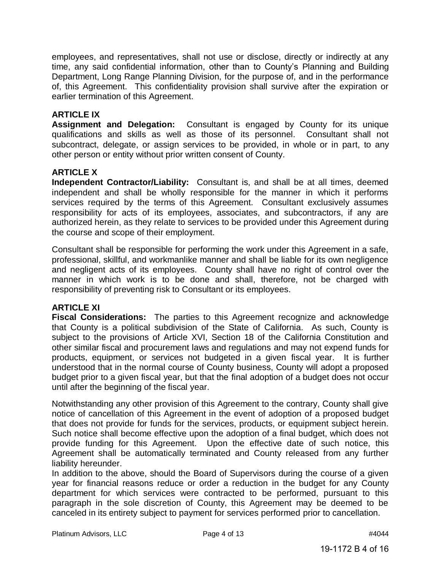employees, and representatives, shall not use or disclose, directly or indirectly at any time, any said confidential information, other than to County's Planning and Building Department, Long Range Planning Division, for the purpose of, and in the performance of, this Agreement. This confidentiality provision shall survive after the expiration or earlier termination of this Agreement.

## **ARTICLE IX**

**Assignment and Delegation:** Consultant is engaged by County for its unique qualifications and skills as well as those of its personnel. Consultant shall not subcontract, delegate, or assign services to be provided, in whole or in part, to any other person or entity without prior written consent of County.

#### **ARTICLE X**

**Independent Contractor/Liability:** Consultant is, and shall be at all times, deemed independent and shall be wholly responsible for the manner in which it performs services required by the terms of this Agreement. Consultant exclusively assumes responsibility for acts of its employees, associates, and subcontractors, if any are authorized herein, as they relate to services to be provided under this Agreement during the course and scope of their employment.

Consultant shall be responsible for performing the work under this Agreement in a safe, professional, skillful, and workmanlike manner and shall be liable for its own negligence and negligent acts of its employees. County shall have no right of control over the manner in which work is to be done and shall, therefore, not be charged with responsibility of preventing risk to Consultant or its employees.

## **ARTICLE XI**

**Fiscal Considerations:** The parties to this Agreement recognize and acknowledge that County is a political subdivision of the State of California. As such, County is subject to the provisions of Article XVI, Section 18 of the California Constitution and other similar fiscal and procurement laws and regulations and may not expend funds for products, equipment, or services not budgeted in a given fiscal year. It is further understood that in the normal course of County business, County will adopt a proposed budget prior to a given fiscal year, but that the final adoption of a budget does not occur until after the beginning of the fiscal year.

Notwithstanding any other provision of this Agreement to the contrary, County shall give notice of cancellation of this Agreement in the event of adoption of a proposed budget that does not provide for funds for the services, products, or equipment subject herein. Such notice shall become effective upon the adoption of a final budget, which does not provide funding for this Agreement. Upon the effective date of such notice, this Agreement shall be automatically terminated and County released from any further liability hereunder.

In addition to the above, should the Board of Supervisors during the course of a given year for financial reasons reduce or order a reduction in the budget for any County department for which services were contracted to be performed, pursuant to this paragraph in the sole discretion of County, this Agreement may be deemed to be canceled in its entirety subject to payment for services performed prior to cancellation.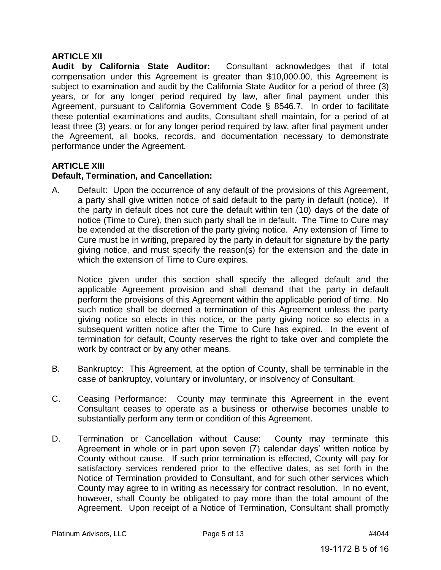## **ARTICLE XII**

**Audit by California State Auditor:** Consultant acknowledges that if total compensation under this Agreement is greater than \$10,000.00, this Agreement is subject to examination and audit by the California State Auditor for a period of three (3) years, or for any longer period required by law, after final payment under this Agreement, pursuant to California Government Code § 8546.7. In order to facilitate these potential examinations and audits, Consultant shall maintain, for a period of at least three (3) years, or for any longer period required by law, after final payment under the Agreement, all books, records, and documentation necessary to demonstrate performance under the Agreement.

## **ARTICLE XIII**

## **Default, Termination, and Cancellation:**

A. Default: Upon the occurrence of any default of the provisions of this Agreement, a party shall give written notice of said default to the party in default (notice). If the party in default does not cure the default within ten (10) days of the date of notice (Time to Cure), then such party shall be in default. The Time to Cure may be extended at the discretion of the party giving notice. Any extension of Time to Cure must be in writing, prepared by the party in default for signature by the party giving notice, and must specify the reason(s) for the extension and the date in which the extension of Time to Cure expires.

Notice given under this section shall specify the alleged default and the applicable Agreement provision and shall demand that the party in default perform the provisions of this Agreement within the applicable period of time. No such notice shall be deemed a termination of this Agreement unless the party giving notice so elects in this notice, or the party giving notice so elects in a subsequent written notice after the Time to Cure has expired. In the event of termination for default, County reserves the right to take over and complete the work by contract or by any other means.

- B. Bankruptcy: This Agreement, at the option of County, shall be terminable in the case of bankruptcy, voluntary or involuntary, or insolvency of Consultant.
- C. Ceasing Performance: County may terminate this Agreement in the event Consultant ceases to operate as a business or otherwise becomes unable to substantially perform any term or condition of this Agreement.
- D. Termination or Cancellation without Cause: County may terminate this Agreement in whole or in part upon seven (7) calendar days' written notice by County without cause. If such prior termination is effected, County will pay for satisfactory services rendered prior to the effective dates, as set forth in the Notice of Termination provided to Consultant, and for such other services which County may agree to in writing as necessary for contract resolution. In no event, however, shall County be obligated to pay more than the total amount of the Agreement. Upon receipt of a Notice of Termination, Consultant shall promptly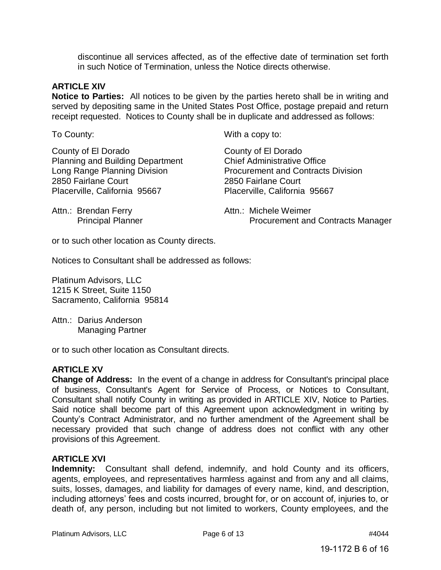discontinue all services affected, as of the effective date of termination set forth in such Notice of Termination, unless the Notice directs otherwise.

#### **ARTICLE XIV**

**Notice to Parties:** All notices to be given by the parties hereto shall be in writing and served by depositing same in the United States Post Office, postage prepaid and return receipt requested. Notices to County shall be in duplicate and addressed as follows:

County of El Dorado Planning and Building Department Long Range Planning Division 2850 Fairlane Court Placerville, California 95667

To County: The County: The County: The County: The County: The County of Millet Section 2012 10: The County of The County of The County of The County of The County of The County of The County of The County of The County of

County of El Dorado Chief Administrative Office Procurement and Contracts Division 2850 Fairlane Court Placerville, California 95667

Attn.: Brendan Ferry Principal Planner Attn.: Michele Weimer Procurement and Contracts Manager

or to such other location as County directs.

Notices to Consultant shall be addressed as follows:

Platinum Advisors, LLC 1215 K Street, Suite 1150 Sacramento, California 95814

Attn.: Darius Anderson Managing Partner

or to such other location as Consultant directs.

#### **ARTICLE XV**

**Change of Address:** In the event of a change in address for Consultant's principal place of business, Consultant's Agent for Service of Process, or Notices to Consultant, Consultant shall notify County in writing as provided in ARTICLE XIV, Notice to Parties. Said notice shall become part of this Agreement upon acknowledgment in writing by County's Contract Administrator, and no further amendment of the Agreement shall be necessary provided that such change of address does not conflict with any other provisions of this Agreement.

#### **ARTICLE XVI**

**Indemnity:** Consultant shall defend, indemnify, and hold County and its officers, agents, employees, and representatives harmless against and from any and all claims, suits, losses, damages, and liability for damages of every name, kind, and description, including attorneys' fees and costs incurred, brought for, or on account of, injuries to, or death of, any person, including but not limited to workers, County employees, and the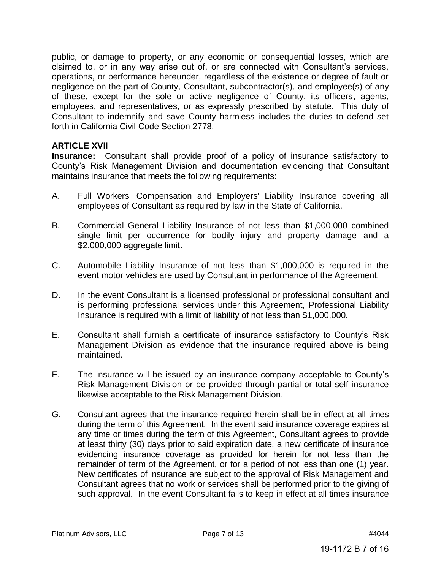public, or damage to property, or any economic or consequential losses, which are claimed to, or in any way arise out of, or are connected with Consultant's services, operations, or performance hereunder, regardless of the existence or degree of fault or negligence on the part of County, Consultant, subcontractor(s), and employee(s) of any of these, except for the sole or active negligence of County, its officers, agents, employees, and representatives, or as expressly prescribed by statute. This duty of Consultant to indemnify and save County harmless includes the duties to defend set forth in California Civil Code Section 2778.

#### **ARTICLE XVII**

**Insurance:** Consultant shall provide proof of a policy of insurance satisfactory to County's Risk Management Division and documentation evidencing that Consultant maintains insurance that meets the following requirements:

- A. Full Workers' Compensation and Employers' Liability Insurance covering all employees of Consultant as required by law in the State of California.
- B. Commercial General Liability Insurance of not less than \$1,000,000 combined single limit per occurrence for bodily injury and property damage and a \$2,000,000 aggregate limit.
- C. Automobile Liability Insurance of not less than \$1,000,000 is required in the event motor vehicles are used by Consultant in performance of the Agreement.
- D. In the event Consultant is a licensed professional or professional consultant and is performing professional services under this Agreement, Professional Liability Insurance is required with a limit of liability of not less than \$1,000,000.
- E. Consultant shall furnish a certificate of insurance satisfactory to County's Risk Management Division as evidence that the insurance required above is being maintained.
- F. The insurance will be issued by an insurance company acceptable to County's Risk Management Division or be provided through partial or total self-insurance likewise acceptable to the Risk Management Division.
- G. Consultant agrees that the insurance required herein shall be in effect at all times during the term of this Agreement. In the event said insurance coverage expires at any time or times during the term of this Agreement, Consultant agrees to provide at least thirty (30) days prior to said expiration date, a new certificate of insurance evidencing insurance coverage as provided for herein for not less than the remainder of term of the Agreement, or for a period of not less than one (1) year. New certificates of insurance are subject to the approval of Risk Management and Consultant agrees that no work or services shall be performed prior to the giving of such approval. In the event Consultant fails to keep in effect at all times insurance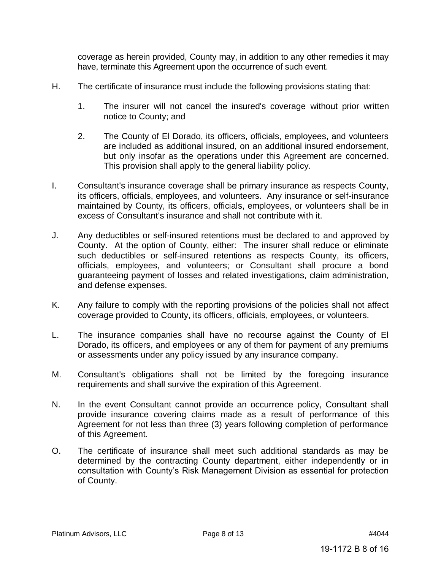coverage as herein provided, County may, in addition to any other remedies it may have, terminate this Agreement upon the occurrence of such event.

- H. The certificate of insurance must include the following provisions stating that:
	- 1. The insurer will not cancel the insured's coverage without prior written notice to County; and
	- 2. The County of El Dorado, its officers, officials, employees, and volunteers are included as additional insured, on an additional insured endorsement, but only insofar as the operations under this Agreement are concerned. This provision shall apply to the general liability policy.
- I. Consultant's insurance coverage shall be primary insurance as respects County, its officers, officials, employees, and volunteers. Any insurance or self-insurance maintained by County, its officers, officials, employees, or volunteers shall be in excess of Consultant's insurance and shall not contribute with it.
- J. Any deductibles or self-insured retentions must be declared to and approved by County. At the option of County, either: The insurer shall reduce or eliminate such deductibles or self-insured retentions as respects County, its officers, officials, employees, and volunteers; or Consultant shall procure a bond guaranteeing payment of losses and related investigations, claim administration, and defense expenses.
- K. Any failure to comply with the reporting provisions of the policies shall not affect coverage provided to County, its officers, officials, employees, or volunteers.
- L. The insurance companies shall have no recourse against the County of El Dorado, its officers, and employees or any of them for payment of any premiums or assessments under any policy issued by any insurance company.
- M. Consultant's obligations shall not be limited by the foregoing insurance requirements and shall survive the expiration of this Agreement.
- N. In the event Consultant cannot provide an occurrence policy, Consultant shall provide insurance covering claims made as a result of performance of this Agreement for not less than three (3) years following completion of performance of this Agreement.
- O. The certificate of insurance shall meet such additional standards as may be determined by the contracting County department, either independently or in consultation with County's Risk Management Division as essential for protection of County.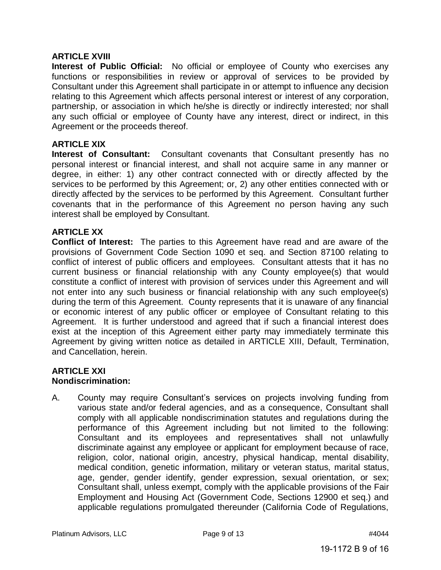#### **ARTICLE XVIII**

**Interest of Public Official:** No official or employee of County who exercises any functions or responsibilities in review or approval of services to be provided by Consultant under this Agreement shall participate in or attempt to influence any decision relating to this Agreement which affects personal interest or interest of any corporation, partnership, or association in which he/she is directly or indirectly interested; nor shall any such official or employee of County have any interest, direct or indirect, in this Agreement or the proceeds thereof.

#### **ARTICLE XIX**

**Interest of Consultant:** Consultant covenants that Consultant presently has no personal interest or financial interest, and shall not acquire same in any manner or degree, in either: 1) any other contract connected with or directly affected by the services to be performed by this Agreement; or, 2) any other entities connected with or directly affected by the services to be performed by this Agreement. Consultant further covenants that in the performance of this Agreement no person having any such interest shall be employed by Consultant.

#### **ARTICLE XX**

**Conflict of Interest:** The parties to this Agreement have read and are aware of the provisions of Government Code Section 1090 et seq. and Section 87100 relating to conflict of interest of public officers and employees. Consultant attests that it has no current business or financial relationship with any County employee(s) that would constitute a conflict of interest with provision of services under this Agreement and will not enter into any such business or financial relationship with any such employee(s) during the term of this Agreement. County represents that it is unaware of any financial or economic interest of any public officer or employee of Consultant relating to this Agreement. It is further understood and agreed that if such a financial interest does exist at the inception of this Agreement either party may immediately terminate this Agreement by giving written notice as detailed in ARTICLE XIII, Default, Termination, and Cancellation, herein.

#### **ARTICLE XXI Nondiscrimination:**

A. County may require Consultant's services on projects involving funding from various state and/or federal agencies, and as a consequence, Consultant shall comply with all applicable nondiscrimination statutes and regulations during the performance of this Agreement including but not limited to the following: Consultant and its employees and representatives shall not unlawfully discriminate against any employee or applicant for employment because of race, religion, color, national origin, ancestry, physical handicap, mental disability, medical condition, genetic information, military or veteran status, marital status, age, gender, gender identify, gender expression, sexual orientation, or sex; Consultant shall, unless exempt, comply with the applicable provisions of the Fair Employment and Housing Act (Government Code, Sections 12900 et seq.) and applicable regulations promulgated thereunder (California Code of Regulations,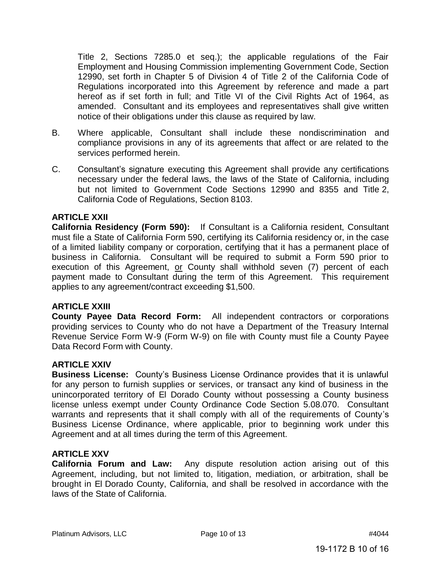Title 2, Sections 7285.0 et seq.); the applicable regulations of the Fair Employment and Housing Commission implementing Government Code, Section 12990, set forth in Chapter 5 of Division 4 of Title 2 of the California Code of Regulations incorporated into this Agreement by reference and made a part hereof as if set forth in full; and Title VI of the Civil Rights Act of 1964, as amended. Consultant and its employees and representatives shall give written notice of their obligations under this clause as required by law.

- B. Where applicable, Consultant shall include these nondiscrimination and compliance provisions in any of its agreements that affect or are related to the services performed herein.
- C. Consultant's signature executing this Agreement shall provide any certifications necessary under the federal laws, the laws of the State of California, including but not limited to Government Code Sections 12990 and 8355 and Title 2, California Code of Regulations, Section 8103.

#### **ARTICLE XXII**

**California Residency (Form 590):** If Consultant is a California resident, Consultant must file a State of California Form 590, certifying its California residency or, in the case of a limited liability company or corporation, certifying that it has a permanent place of business in California. Consultant will be required to submit a Form 590 prior to execution of this Agreement, or County shall withhold seven (7) percent of each payment made to Consultant during the term of this Agreement. This requirement applies to any agreement/contract exceeding \$1,500.

## **ARTICLE XXIII**

**County Payee Data Record Form:** All independent contractors or corporations providing services to County who do not have a Department of the Treasury Internal Revenue Service Form W-9 (Form W-9) on file with County must file a County Payee Data Record Form with County.

#### **ARTICLE XXIV**

**Business License:** County's Business License Ordinance provides that it is unlawful for any person to furnish supplies or services, or transact any kind of business in the unincorporated territory of El Dorado County without possessing a County business license unless exempt under County Ordinance Code Section 5.08.070. Consultant warrants and represents that it shall comply with all of the requirements of County's Business License Ordinance, where applicable, prior to beginning work under this Agreement and at all times during the term of this Agreement.

## **ARTICLE XXV**

**California Forum and Law:** Any dispute resolution action arising out of this Agreement, including, but not limited to, litigation, mediation, or arbitration, shall be brought in El Dorado County, California, and shall be resolved in accordance with the laws of the State of California.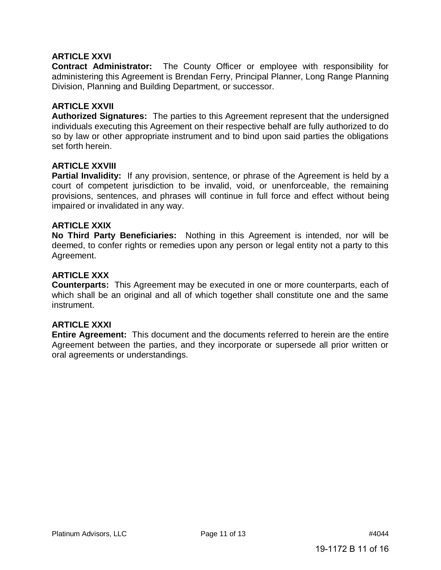## **ARTICLE XXVI**

**Contract Administrator:** The County Officer or employee with responsibility for administering this Agreement is Brendan Ferry, Principal Planner, Long Range Planning Division, Planning and Building Department, or successor.

## **ARTICLE XXVII**

**Authorized Signatures:** The parties to this Agreement represent that the undersigned individuals executing this Agreement on their respective behalf are fully authorized to do so by law or other appropriate instrument and to bind upon said parties the obligations set forth herein.

## **ARTICLE XXVIII**

**Partial Invalidity:** If any provision, sentence, or phrase of the Agreement is held by a court of competent jurisdiction to be invalid, void, or unenforceable, the remaining provisions, sentences, and phrases will continue in full force and effect without being impaired or invalidated in any way.

## **ARTICLE XXIX**

**No Third Party Beneficiaries:** Nothing in this Agreement is intended, nor will be deemed, to confer rights or remedies upon any person or legal entity not a party to this Agreement.

## **ARTICLE XXX**

**Counterparts:** This Agreement may be executed in one or more counterparts, each of which shall be an original and all of which together shall constitute one and the same instrument.

## **ARTICLE XXXI**

**Entire Agreement:** This document and the documents referred to herein are the entire Agreement between the parties, and they incorporate or supersede all prior written or oral agreements or understandings.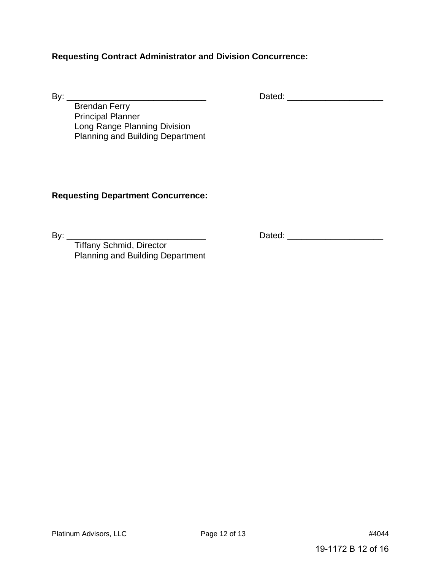## **Requesting Contract Administrator and Division Concurrence:**

By: \_\_\_\_\_\_\_\_\_\_\_\_\_\_\_\_\_\_\_\_\_\_\_\_\_\_\_\_\_ Dated: \_\_\_\_\_\_\_\_\_\_\_\_\_\_\_\_\_\_\_\_

Brendan Ferry Principal Planner Long Range Planning Division Planning and Building Department

## **Requesting Department Concurrence:**

By: \_\_\_\_\_\_\_\_\_\_\_\_\_\_\_\_\_\_\_\_\_\_\_\_\_\_\_\_\_ Dated: \_\_\_\_\_\_\_\_\_\_\_\_\_\_\_\_\_\_\_\_

Tiffany Schmid, Director Planning and Building Department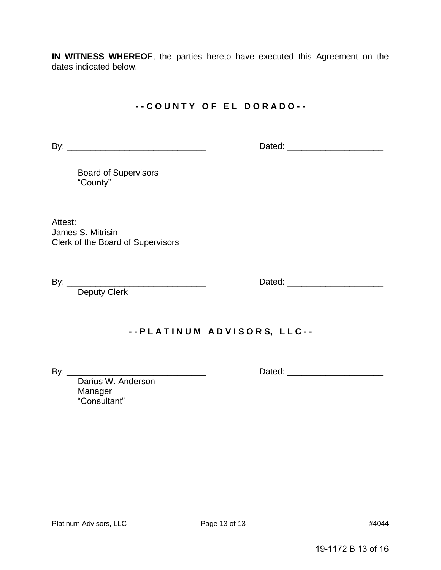**IN WITNESS WHEREOF**, the parties hereto have executed this Agreement on the dates indicated below.

## **- - C O U N T Y O F E L D O R A D O - -**

By: \_\_\_\_\_\_\_\_\_\_\_\_\_\_\_\_\_\_\_\_\_\_\_\_\_\_\_\_\_ Dated: \_\_\_\_\_\_\_\_\_\_\_\_\_\_\_\_\_\_\_\_

Board of Supervisors "County"

Attest: James S. Mitrisin Clerk of the Board of Supervisors

Deputy Clerk

By: \_\_\_\_\_\_\_\_\_\_\_\_\_\_\_\_\_\_\_\_\_\_\_\_\_\_\_\_\_ Dated: \_\_\_\_\_\_\_\_\_\_\_\_\_\_\_\_\_\_\_\_

# **- - P L A T I N U M A D V I S O R S, L L C - -**

By: \_\_\_\_\_\_\_\_\_\_\_\_\_\_\_\_\_\_\_\_\_\_\_\_\_\_\_\_\_ Dated: \_\_\_\_\_\_\_\_\_\_\_\_\_\_\_\_\_\_\_\_

Darius W. Anderson Manager "Consultant"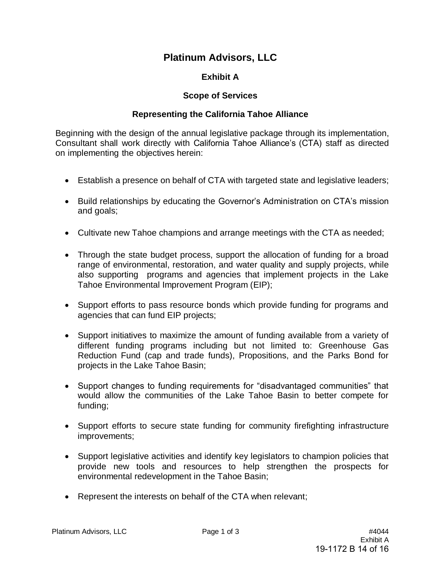# **Platinum Advisors, LLC**

## **Exhibit A**

## **Scope of Services**

## **Representing the California Tahoe Alliance**

Beginning with the design of the annual legislative package through its implementation, Consultant shall work directly with California Tahoe Alliance's (CTA) staff as directed on implementing the objectives herein:

- Establish a presence on behalf of CTA with targeted state and legislative leaders;
- Build relationships by educating the Governor's Administration on CTA's mission and goals;
- Cultivate new Tahoe champions and arrange meetings with the CTA as needed;
- Through the state budget process, support the allocation of funding for a broad range of environmental, restoration, and water quality and supply projects, while also supporting programs and agencies that implement projects in the Lake Tahoe Environmental Improvement Program (EIP);
- Support efforts to pass resource bonds which provide funding for programs and agencies that can fund EIP projects;
- Support initiatives to maximize the amount of funding available from a variety of different funding programs including but not limited to: Greenhouse Gas Reduction Fund (cap and trade funds), Propositions, and the Parks Bond for projects in the Lake Tahoe Basin;
- Support changes to funding requirements for "disadvantaged communities" that would allow the communities of the Lake Tahoe Basin to better compete for funding;
- Support efforts to secure state funding for community firefighting infrastructure improvements;
- Support legislative activities and identify key legislators to champion policies that provide new tools and resources to help strengthen the prospects for environmental redevelopment in the Tahoe Basin;
- Represent the interests on behalf of the CTA when relevant;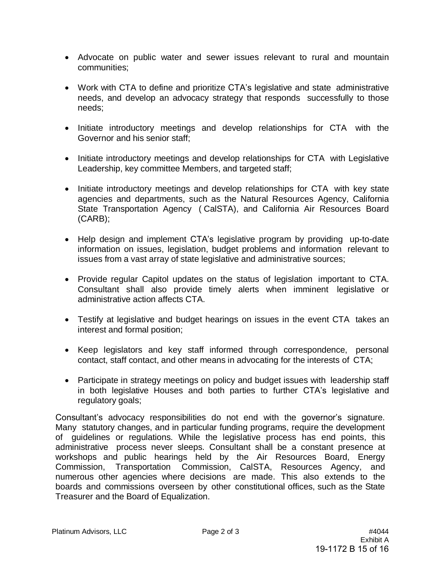- Advocate on public water and sewer issues relevant to rural and mountain communities;
- Work with CTA to define and prioritize CTA's legislative and state administrative needs, and develop an advocacy strategy that responds successfully to those needs;
- Initiate introductory meetings and develop relationships for CTA with the Governor and his senior staff;
- Initiate introductory meetings and develop relationships for CTA with Legislative Leadership, key committee Members, and targeted staff;
- Initiate introductory meetings and develop relationships for CTA with key state agencies and departments, such as the Natural Resources Agency, California State Transportation Agency ( CalSTA), and California Air Resources Board (CARB);
- Help design and implement CTA's legislative program by providing up-to-date information on issues, legislation, budget problems and information relevant to issues from a vast array of state legislative and administrative sources;
- Provide regular Capitol updates on the status of legislation important to CTA. Consultant shall also provide timely alerts when imminent legislative or administrative action affects CTA.
- Testify at legislative and budget hearings on issues in the event CTA takes an interest and formal position;
- Keep legislators and key staff informed through correspondence, personal contact, staff contact, and other means in advocating for the interests of CTA;
- Participate in strategy meetings on policy and budget issues with leadership staff in both legislative Houses and both parties to further CTA's legislative and regulatory goals;

Consultant's advocacy responsibilities do not end with the governor's signature. Many statutory changes, and in particular funding programs, require the development of guidelines or regulations. While the legislative process has end points, this administrative process never sleeps. Consultant shall be a constant presence at workshops and public hearings held by the Air Resources Board, Energy Commission, Transportation Commission, CalSTA, Resources Agency, and numerous other agencies where decisions are made. This also extends to the boards and commissions overseen by other constitutional offices, such as the State Treasurer and the Board of Equalization.